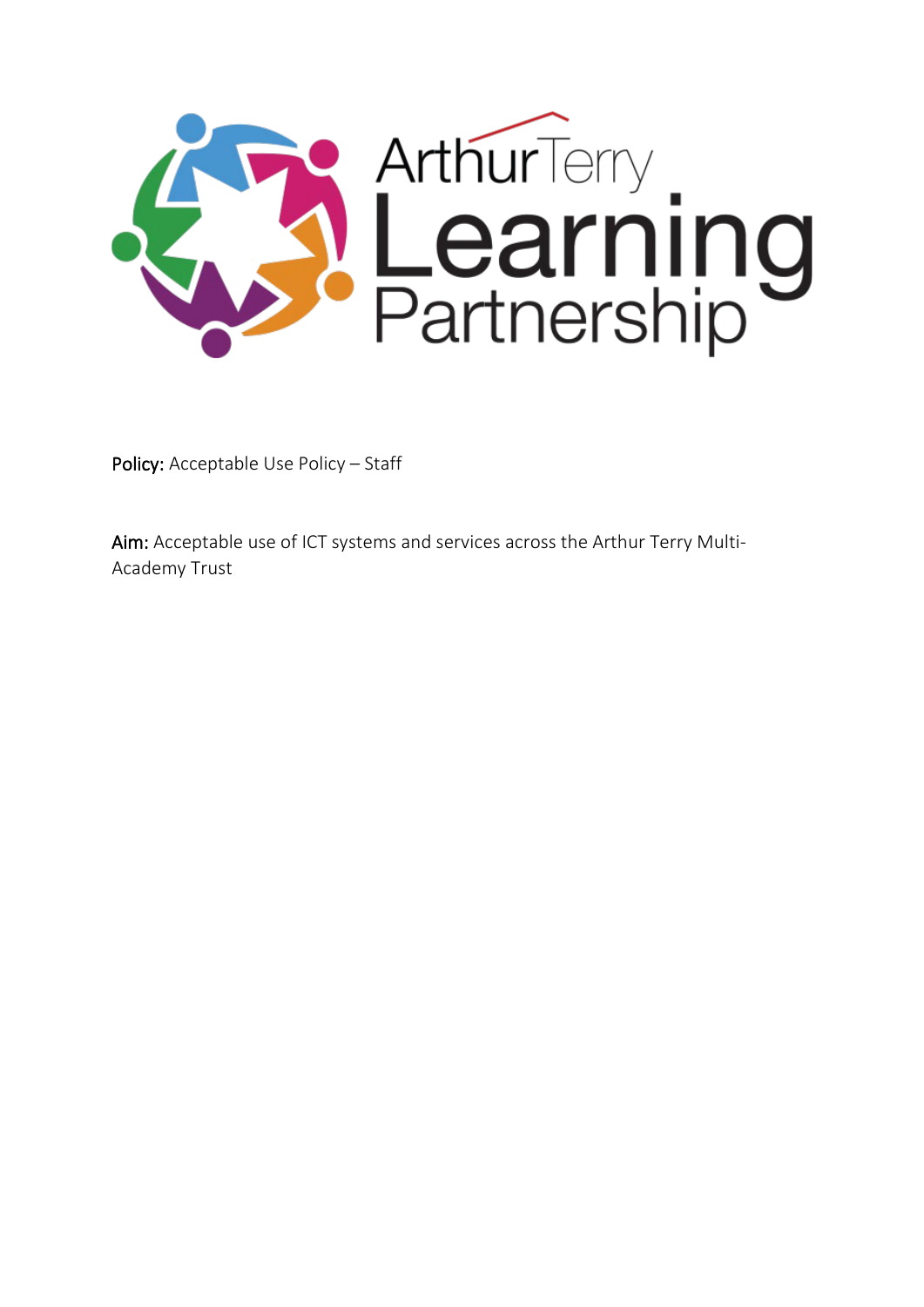

Policy: Acceptable Use Policy - Staff

Aim: Acceptable use of ICT systems and services across the Arthur Terry Multi-Academy Trust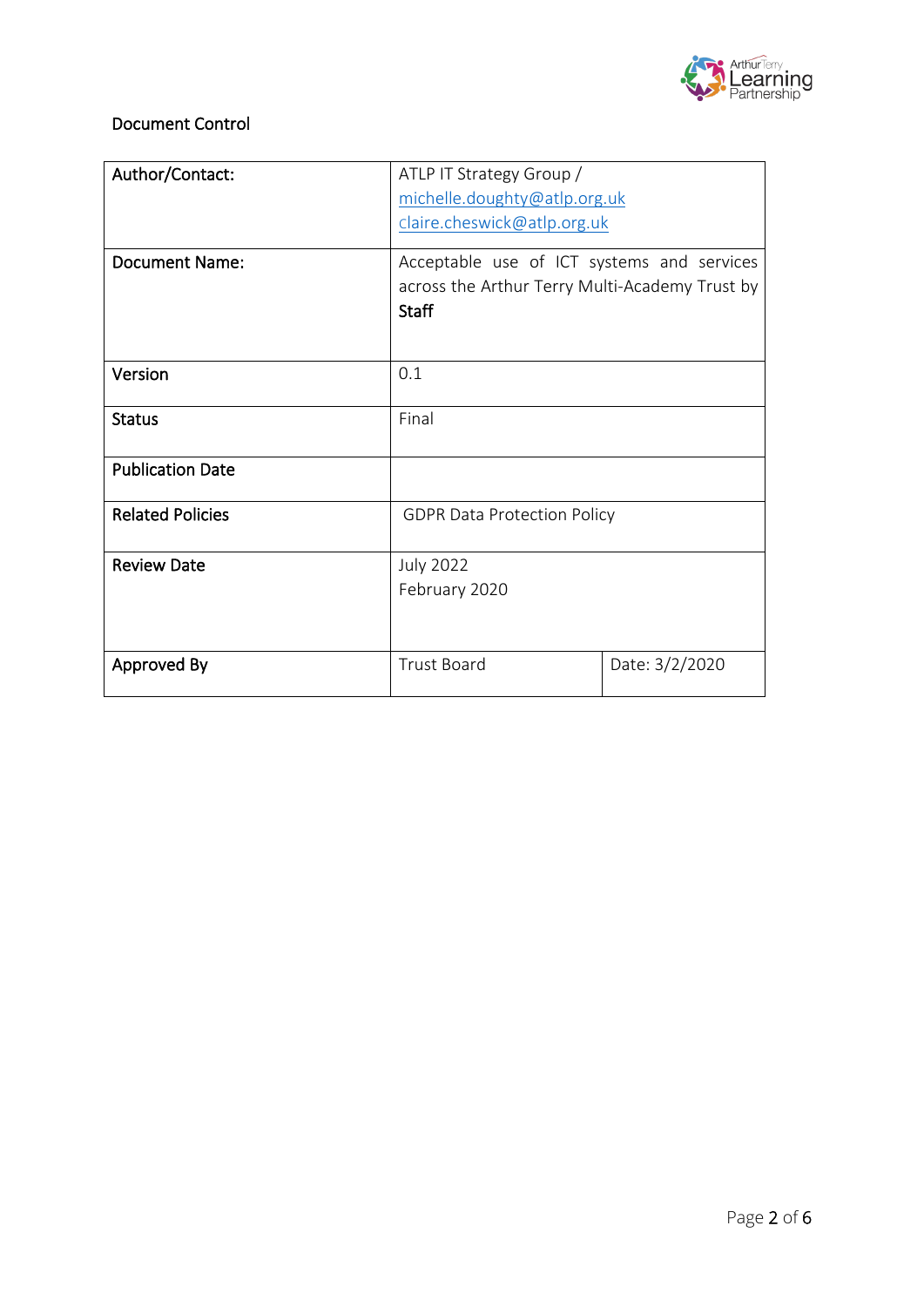

## Document Control

| Author/Contact:         | ATLP IT Strategy Group /                       |                |
|-------------------------|------------------------------------------------|----------------|
|                         | michelle.doughty@atlp.org.uk                   |                |
|                         | claire.cheswick@atlp.org.uk                    |                |
|                         |                                                |                |
| Document Name:          | Acceptable use of ICT systems and services     |                |
|                         | across the Arthur Terry Multi-Academy Trust by |                |
|                         | <b>Staff</b>                                   |                |
|                         |                                                |                |
| Version                 | 0.1                                            |                |
|                         |                                                |                |
| <b>Status</b>           | Final                                          |                |
|                         |                                                |                |
| <b>Publication Date</b> |                                                |                |
| <b>Related Policies</b> | <b>GDPR Data Protection Policy</b>             |                |
|                         |                                                |                |
| <b>Review Date</b>      | <b>July 2022</b>                               |                |
|                         | February 2020                                  |                |
|                         |                                                |                |
|                         |                                                |                |
| Approved By             | <b>Trust Board</b>                             | Date: 3/2/2020 |
|                         |                                                |                |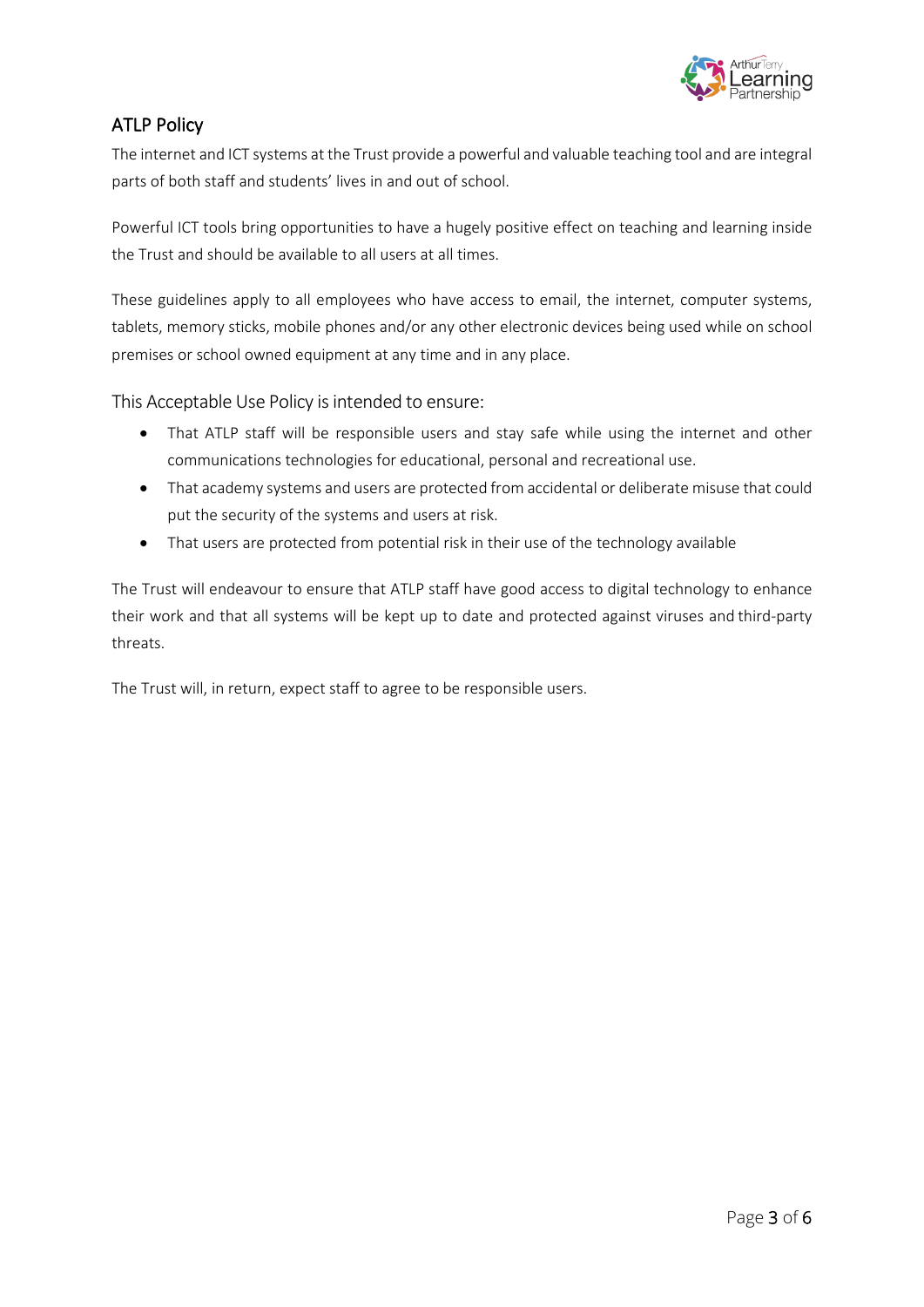

## ATLP Policy

The internet and ICT systems at the Trust provide a powerful and valuable teaching tool and are integral parts of both staff and students' lives in and out of school.

Powerful ICT tools bring opportunities to have a hugely positive effect on teaching and learning inside the Trust and should be available to all users at all times.

These guidelines apply to all employees who have access to email, the internet, computer systems, tablets, memory sticks, mobile phones and/or any other electronic devices being used while on school premises or school owned equipment at any time and in any place.

This Acceptable Use Policy is intended to ensure:

- That ATLP staff will be responsible users and stay safe while using the internet and other communications technologies for educational, personal and recreational use.
- That academy systems and users are protected from accidental or deliberate misuse that could put the security of the systems and users at risk.
- That users are protected from potential risk in their use of the technology available

The Trust will endeavour to ensure that ATLP staff have good access to digital technology to enhance their work and that all systems will be kept up to date and protected against viruses and third-party threats.

The Trust will, in return, expect staff to agree to be responsible users.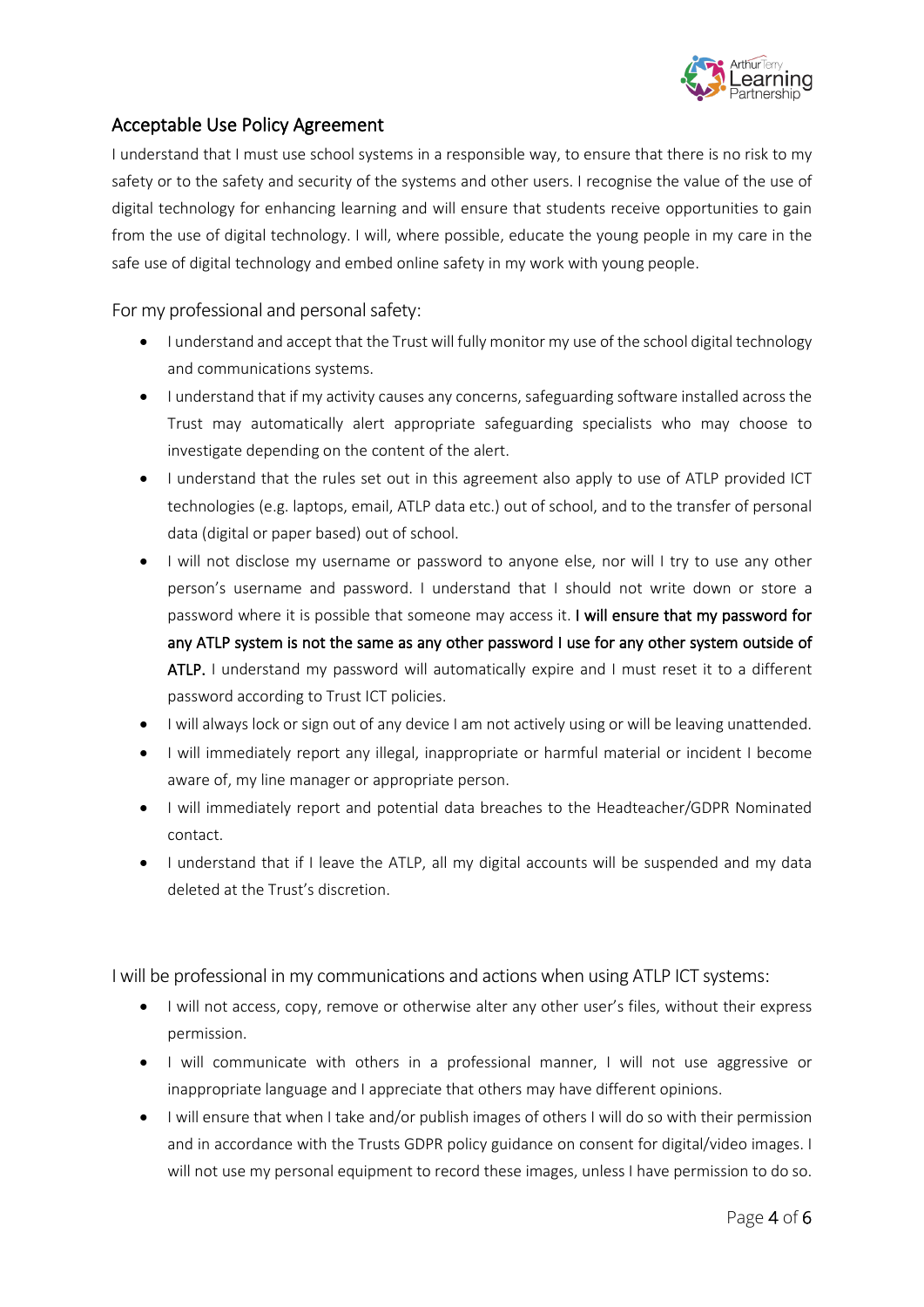

## Acceptable Use Policy Agreement

I understand that I must use school systems in a responsible way, to ensure that there is no risk to my safety or to the safety and security of the systems and other users. I recognise the value of the use of digital technology for enhancing learning and will ensure that students receive opportunities to gain from the use of digital technology. I will, where possible, educate the young people in my care in the safe use of digital technology and embed online safety in my work with young people.

For my professional and personal safety:

- I understand and accept that the Trust will fully monitor my use of the school digital technology and communications systems.
- I understand that if my activity causes any concerns, safeguarding software installed across the Trust may automatically alert appropriate safeguarding specialists who may choose to investigate depending on the content of the alert.
- I understand that the rules set out in this agreement also apply to use of ATLP provided ICT technologies (e.g. laptops, email, ATLP data etc.) out of school, and to the transfer of personal data (digital or paper based) out of school.
- I will not disclose my username or password to anyone else, nor will I try to use any other person's username and password. I understand that I should not write down or store a password where it is possible that someone may access it. I will ensure that my password for any ATLP system is not the same as any other password I use for any other system outside of ATLP. I understand my password will automatically expire and I must reset it to a different password according to Trust ICT policies.
- I will always lock or sign out of any device I am not actively using or will be leaving unattended.
- I will immediately report any illegal, inappropriate or harmful material or incident I become aware of, my line manager or appropriate person.
- I will immediately report and potential data breaches to the Headteacher/GDPR Nominated contact.
- I understand that if I leave the ATLP, all my digital accounts will be suspended and my data deleted at the Trust's discretion.

I will be professional in my communications and actions when using ATLP ICT systems:

- I will not access, copy, remove or otherwise alter any other user's files, without their express permission.
- I will communicate with others in a professional manner, I will not use aggressive or inappropriate language and I appreciate that others may have different opinions.
- I will ensure that when I take and/or publish images of others I will do so with their permission and in accordance with the Trusts GDPR policy guidance on consent for digital/video images. I will not use my personal equipment to record these images, unless I have permission to do so.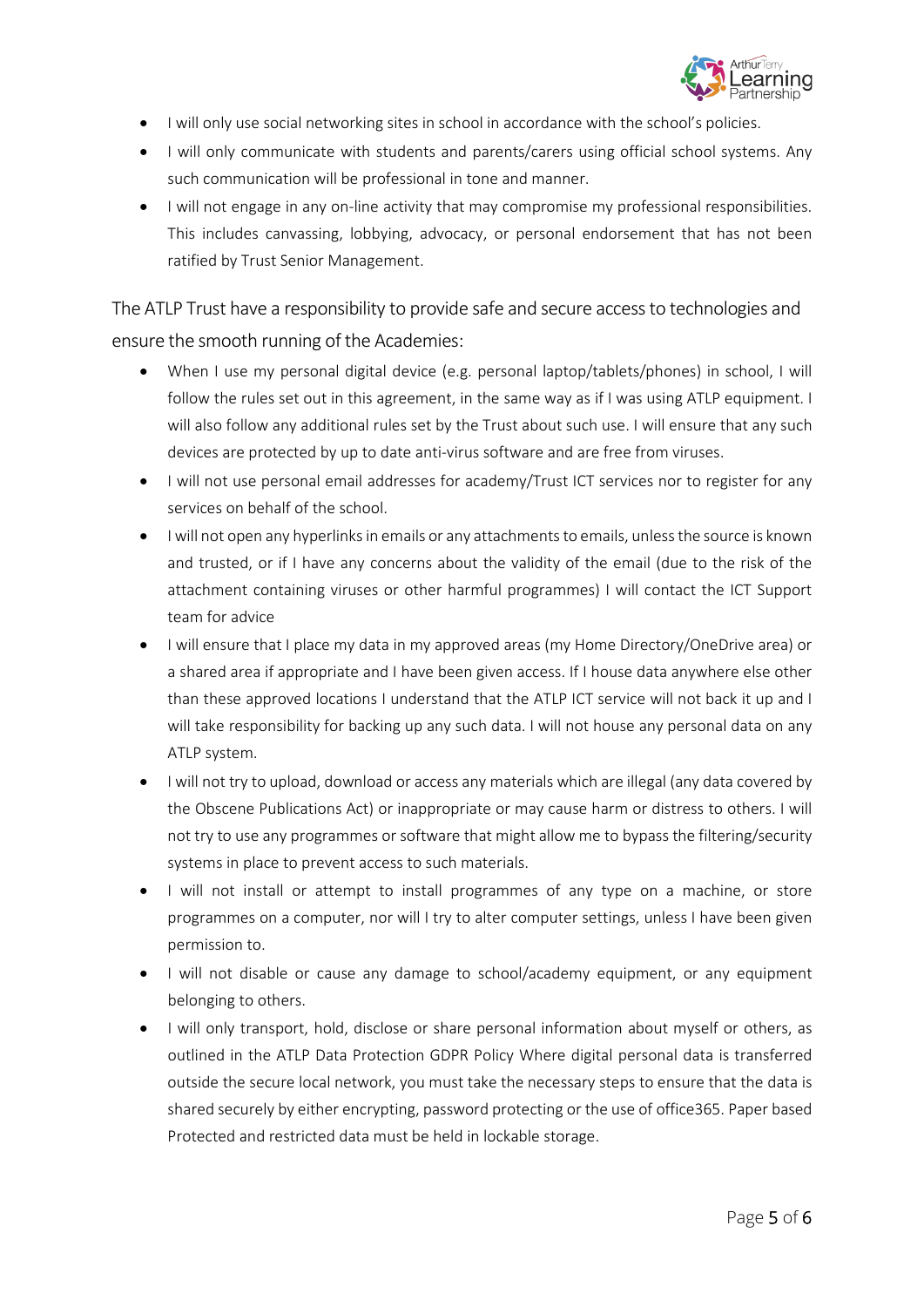

- I will only use social networking sites in school in accordance with the school's policies.
- I will only communicate with students and parents/carers using official school systems. Any such communication will be professional in tone and manner.
- I will not engage in any on-line activity that may compromise my professional responsibilities. This includes canvassing, lobbying, advocacy, or personal endorsement that has not been ratified by Trust Senior Management.

The ATLP Trust have a responsibility to provide safe and secure access to technologies and ensure the smooth running of the Academies:

- When I use my personal digital device (e.g. personal laptop/tablets/phones) in school, I will follow the rules set out in this agreement, in the same way as if I was using ATLP equipment. I will also follow any additional rules set by the Trust about such use. I will ensure that any such devices are protected by up to date anti-virus software and are free from viruses.
- I will not use personal email addresses for academy/Trust ICT services nor to register for any services on behalf of the school.
- I will not open any hyperlinks in emails or any attachments to emails, unless the source is known and trusted, or if I have any concerns about the validity of the email (due to the risk of the attachment containing viruses or other harmful programmes) I will contact the ICT Support team for advice
- I will ensure that I place my data in my approved areas (my Home Directory/OneDrive area) or a shared area if appropriate and I have been given access. If I house data anywhere else other than these approved locations I understand that the ATLP ICT service will not back it up and I will take responsibility for backing up any such data. I will not house any personal data on any ATLP system.
- I will not try to upload, download or access any materials which are illegal (any data covered by the Obscene Publications Act) or inappropriate or may cause harm or distress to others. I will not try to use any programmes or software that might allow me to bypass the filtering/security systems in place to prevent access to such materials.
- I will not install or attempt to install programmes of any type on a machine, or store programmes on a computer, nor will I try to alter computer settings, unless I have been given permission to.
- I will not disable or cause any damage to school/academy equipment, or any equipment belonging to others.
- I will only transport, hold, disclose or share personal information about myself or others, as outlined in the ATLP Data Protection GDPR Policy Where digital personal data is transferred outside the secure local network, you must take the necessary steps to ensure that the data is shared securely by either encrypting, password protecting or the use of office365. Paper based Protected and restricted data must be held in lockable storage.